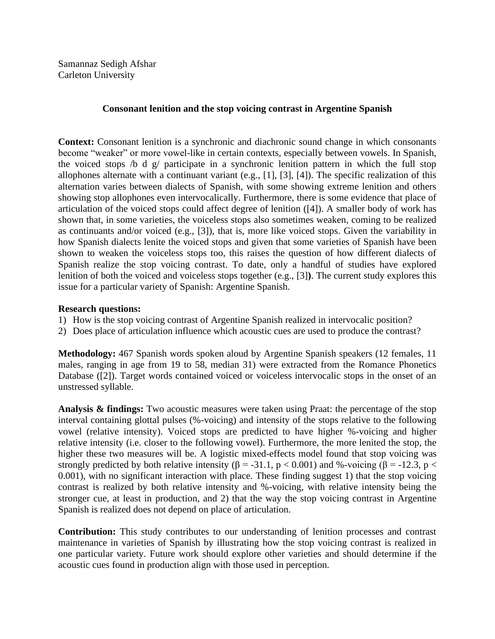## **Consonant lenition and the stop voicing contrast in Argentine Spanish**

**Context:** Consonant lenition is a synchronic and diachronic sound change in which consonants become "weaker" or more vowel-like in certain contexts, especially between vowels. In Spanish, the voiced stops /b d g/ participate in a synchronic lenition pattern in which the full stop allophones alternate with a continuant variant (e.g., [1], [3], [4]). The specific realization of this alternation varies between dialects of Spanish, with some showing extreme lenition and others showing stop allophones even intervocalically. Furthermore, there is some evidence that place of articulation of the voiced stops could affect degree of lenition ([4]). A smaller body of work has shown that, in some varieties, the voiceless stops also sometimes weaken, coming to be realized as continuants and/or voiced (e.g., [3]), that is, more like voiced stops. Given the variability in how Spanish dialects lenite the voiced stops and given that some varieties of Spanish have been shown to weaken the voiceless stops too, this raises the question of how different dialects of Spanish realize the stop voicing contrast. To date, only a handful of studies have explored lenition of both the voiced and voiceless stops together (e.g., [3]**)**. The current study explores this issue for a particular variety of Spanish: Argentine Spanish.

## **Research questions:**

- 1) How is the stop voicing contrast of Argentine Spanish realized in intervocalic position?
- 2) Does place of articulation influence which acoustic cues are used to produce the contrast?

**Methodology:** 467 Spanish words spoken aloud by Argentine Spanish speakers (12 females, 11 males, ranging in age from 19 to 58, median 31) were extracted from the Romance Phonetics Database ([2]). Target words contained voiced or voiceless intervocalic stops in the onset of an unstressed syllable.

**Analysis & findings:** Two acoustic measures were taken using Praat: the percentage of the stop interval containing glottal pulses (%-voicing) and intensity of the stops relative to the following vowel (relative intensity). Voiced stops are predicted to have higher %-voicing and higher relative intensity (i.e. closer to the following vowel). Furthermore, the more lenited the stop, the higher these two measures will be. A logistic mixed-effects model found that stop voicing was strongly predicted by both relative intensity ( $\beta$  = -31.1, p < 0.001) and %-voicing ( $\beta$  = -12.3, p < 0.001), with no significant interaction with place. These finding suggest 1) that the stop voicing contrast is realized by both relative intensity and %-voicing, with relative intensity being the stronger cue, at least in production, and 2) that the way the stop voicing contrast in Argentine Spanish is realized does not depend on place of articulation.

**Contribution:** This study contributes to our understanding of lenition processes and contrast maintenance in varieties of Spanish by illustrating how the stop voicing contrast is realized in one particular variety. Future work should explore other varieties and should determine if the acoustic cues found in production align with those used in perception.